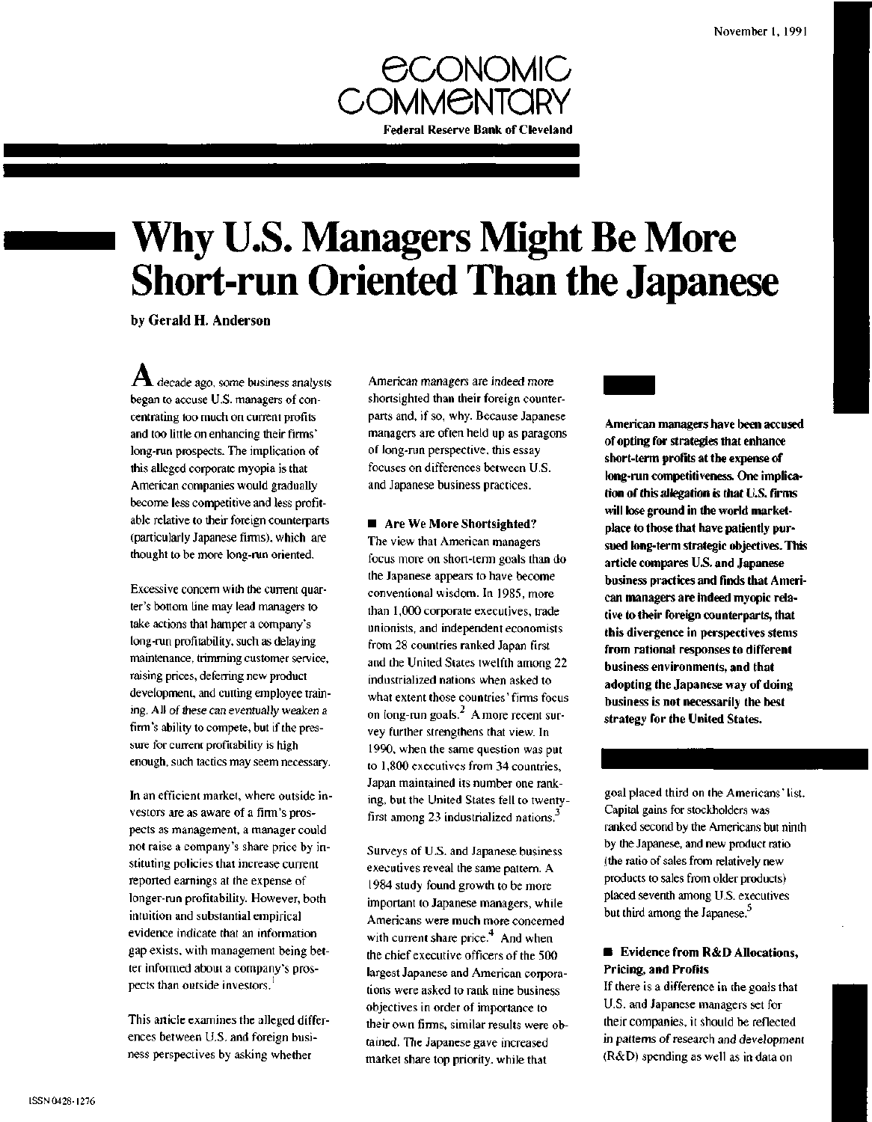

# **Why U.S. Managers Might Be More Short-run Oriented Than the Japanese**

by Gerald H. Anderson

**r l** decade ago, some business analysts began to accuse U.S. managers of concentrating too much on current profits and too little on enhancing their firms' long-run prospects. The implication of this alleged corporate myopia is that American companies would gradually become less competitive and less profitable relative to their foreign counterparts (particularly Japanese firms), which are thought to be more long-run oriented.

Excessive concern with the current quarter's bottom line may lead managers to take actions that hamper a company's long-run profitability, such as delaying maintenance, trimming customer service, raising prices, deferring new product development, and cutting employee training. All of these can eventually weaken a firm's ability to compete, but if the pressure for current profitability is high enough, such tactics may seem necessary.

In an efficient market, where outside investors are as aware of a firm's prospects as management, a manager could not raise a company's share price by instituting policies that increase current reported earnings at the expense of longer-run profitability. However, both intuition and substantial empirical evidence indicate that an information gap exists, with management being better informed about a company's prospects than outside investors.

This article examines the alleged differences between U.S. and foreign business perspectives by asking whether

American managers are indeed more shortsighted than their foreign counterparts and, if so, why. Because Japanese managers are often held up as paragons of long-run perspective, this essay focuses on differences between U.S. and Japanese business practices.

### **• Are We More Shortsighted?**

The view that American managers focus more on short-term goals than do the Japanese appears to have become conventional wisdom. In 1985, more than 1,000 corporate executives, trade unionists, and independent economists from 28 countries ranked Japan first and the United States twelfth among 22 industrialized nations when asked to what extent those countries' firms focus on long-run goals. $<sup>2</sup>$  A more recent sur-</sup> vey further strengthens that view. In 1990, when the same question was put to 1,800 executives from 34 countries, Japan maintained its number one ranking, but the United States fell to twentyfirst among 23 industrialized nations.<sup>3</sup>

Surveys of U.S. and Japanese business executives reveal the same pattern. A 1984 study found growth to be more important to Japanese managers, while Americans were much more concerned with current share price. $4$  And when the chief executive officers of the 500 largest Japanese and American corporations were asked to rank nine business objectives in order of importance to their own firms, similar results were obtained. The Japanese gave increased market share top priority, while that



goal placed third on the Americans' list. Capital gains for stockholders was ranked second by the Americans but ninth by the Japanese, and new product ratio (the ratio of sales from relatively new products to sales from older products) placed seventh among U.S. executives but third among the Japanese.<sup>5</sup>

# **• Evidence from R&D Allocations, Pricing, and Profits**

If there is a difference in the goals that U.S. and Japanese managers set for their companies, it should be reflected in patterns of research and development (R&D) spending as well as in data on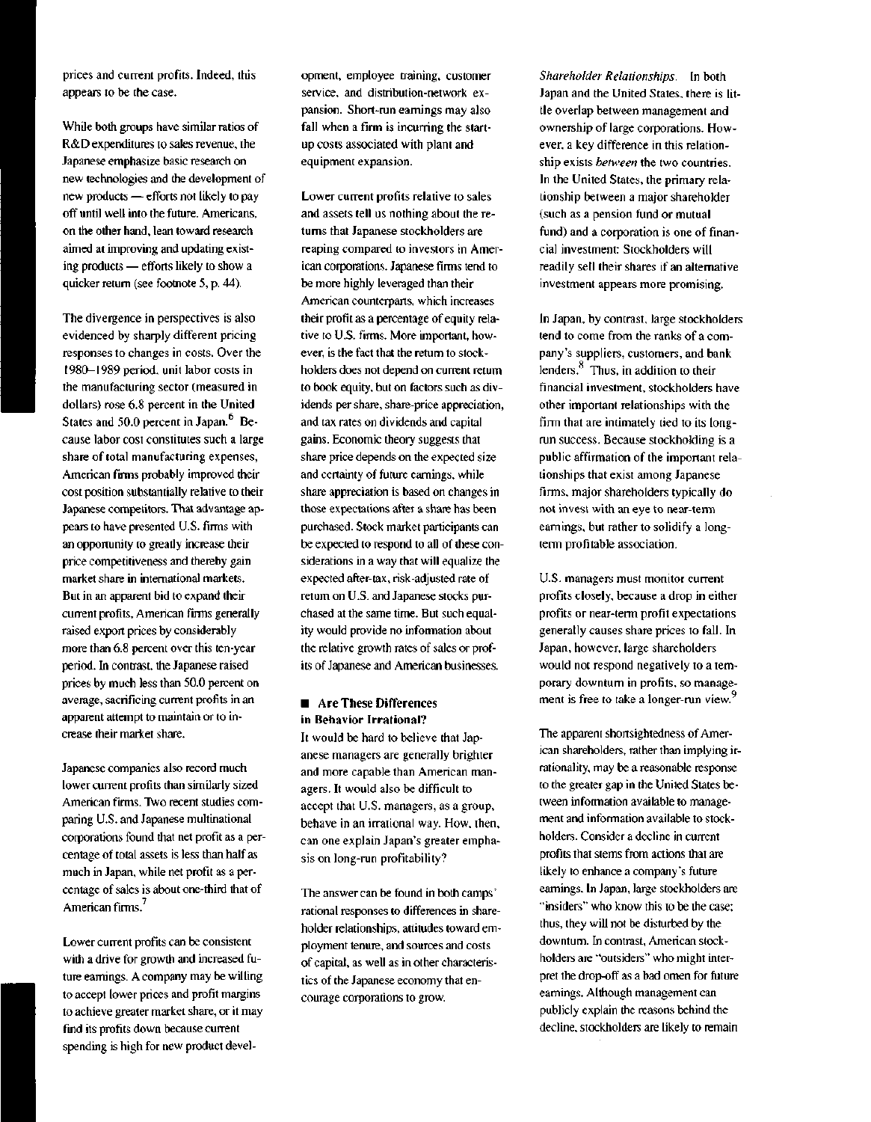prices and current profits. Indeed, this appears to be the case.

While both groups have similar ratios of R&D expenditures to sales revenue, the Japanese emphasize basic research on new technologies and the development of new products — efforts not likely to pay off until well into the future. Americans, on the other hand, lean toward research aimed at improving and updating existing products — efforts likely to show a quicker return (see footnote 5, p. 44).

The divergence in perspectives is also evidenced by sharply different pricing responses to changes in costs. Over the 1980-1989 period, unit labor costs in the manufacturing sector (measured in dollars) rose 6.8 percent in the United States and 50.0 percent in Japan.<sup>6</sup> Because labor cost constitutes such a large share of total manufacturing expenses, American firms probably improved their cost position substantially relative to their Japanese competitors. That advantage appears to have presented U.S. firms with an opportunity to greatly increase their price competitiveness and thereby gain market share in international markets. But in an apparent bid to expand their current profits, American firms generally raised export prices by considerably more than 6.8 percent over this ten-year period. In contrast, the Japanese raised prices by much less than 50.0 percent on average, sacrificing current profits in an apparent attempt to maintain or to increase their market share.

Japanese companies also record much lower current profits than similarly sized American firms. Two recent studies comparing U.S. and Japanese multinational corporations found that net profit as a percentage of total assets is less than half as much in Japan, while net profit as a percentage of sales is about one-third that of American firms.<sup>7</sup>

Lower current profits can be consistent with a drive for growth and increased future earnings. A company may be willing to accept lower prices and profit margins to achieve greater market share, or it may find its profits down because current spending is high for new product devel-

opment, employee training, customer service, and distribution-network expansion. Short-run earnings may also fall when a firm is incurring the startup costs associated with plant and equipment expansion.

Lower current profits relative to sales and assets tell us nothing about the returns that Japanese stockholders are reaping compared to investors in American corporations. Japanese firms tend to be more highly leveraged than their American counterparts, which increases their profit as a percentage of equity relative to U.S. firms. More important, however, is the fact that the return to stockholders does not depend on current return to book equity, but on factors such as dividends per share, share-price appreciation, and tax rates on dividends and capital gains. Economic theory suggests that share price depends on the expected size and certainty of future earnings, while share appreciation is based on changes in those expectations after a share has been purchased. Stock market participants can be expected to respond to all of these considerations in a way that will equalize the expected after-tax, risk-adjusted rate of return on U.S. and Japanese stocks purchased at the same time. But such equality would provide no information about the relative growth rates of sales or profits of Japanese and American businesses.

## **• Are These Differences in Behavior Irrational?**

**It** would be hard to believe that Japanese managers are generally brighter and more capable than American managers. It would also be difficult to accept that U.S. managers, as a group, behave in an irrational way. How, then, can one explain Japan's greater emphasis on long-run profitability?

The answer can be found in both camps' rational responses to differences in shareholder relationships, attitudes toward employment tenure, and sources and costs of capital, as well as in other characteristics of the Japanese economy that encourage corporations to grow.

*Shareholder Relationships.* In both Japan and the United States, there is little overlap between management and ownership of large corporations. However, a key difference in this relationship exists *between* the two countries. In the United States, the primary relationship between a major shareholder (such as a pension fund or mutual fund) and a corporation is one of financial investment: Stockholders will readily sell their shares if an alternative investment appears more promising.

In Japan, by contrast, large stockholders tend to come from the ranks of a company's suppliers, customers, and bank lenders. $<sup>8</sup>$  Thus, in addition to their</sup> financial investment, stockholders have other important relationships with the firm that are intimately tied to its longrun success. Because stockholding is a public affirmation of the important relationships that exist among Japanese firms, major shareholders typically do not invest with an eye to near-term earnings, but rather to solidify a longterm profitable association.

U.S. managers must monitor current profits closely, because a drop in either profits or near-term profit expectations generally causes share prices to fall. In Japan, however, large shareholders would not respond negatively to a temporary downturn in profits, so management is free to take a longer-run view.<sup>5</sup>

The apparent shortsightedness of American shareholders, rather than implying irrationality, may be a reasonable response to the greater gap in the United States between information available to management and information available to stockholders. Consider a decline in current profits that stems from actions that are likely to enhance a company's future earnings. In Japan, large stockholders are "insiders" who know this to be the case; thus, they will not be disturbed by the downturn. In contrast, American stockholders are "outsiders" who might interpret the drop-off as a bad omen for future earnings. Although management can publicly explain the reasons behind the decline, stockholders are likely to remain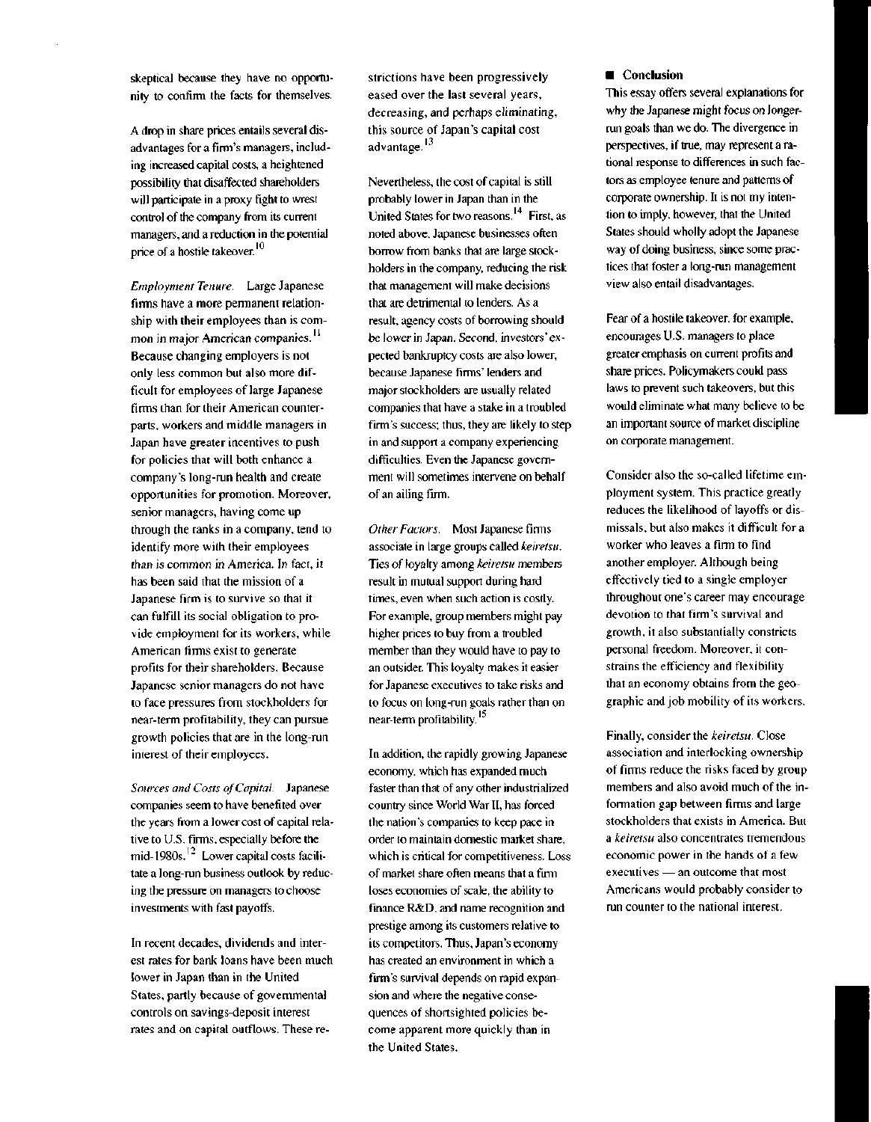skeptical because they have no opportunity to confirm the facts for themselves.

A drop in share prices entails several disadvantages for a firm's managers, including increased capital costs, a heightened possibility that disaffected shareholders will participate in a proxy fight to wrest control of the company from its current managers, and a reduction in the potential price of a hostile takeover.<sup>10</sup>

*Employment Tenure.* Large Japanese firms have a more permanent relationship with their employees than is common in major American companies.<sup>11</sup> Because changing employers is not only less common but also more difficult for employees of large Japanese firms than for their American counterparts, workers and middle managers in Japan have greater incentives to push for policies that will both enhance a company's long-run health and create opportunities for promotion. Moreover, senior managers, having come up through the ranks in a company, tend to identify more with their employees than is common in America. In fact, it has been said that the mission of a Japanese firm is to survive so that it can fulfill its social obligation to provide employment for its workers, while American firms exist to generate profits for their shareholders. Because Japanese senior managers do not have to face pressures from stockholders for near-term profitability, they can pursue growth policies that are in the long-run interest of their employees.

*Sources and Costs of Capital.* Japanese companies seem to have benefited over the years from a lower cost of capital relative to U.S. firms, especially before the mid-1980s.'<sup>2</sup> Lower capital costs facilitate a long-run business outlook by reducing the pressure on managers to choose investments with fast payoffs.

In recent decades, dividends and interest rates for bank loans have been much lower in Japan than in the United States, partly because of governmental controls on savings-deposit interest rates and on capital outflows. These re-

strictions have been progressively eased over the last several years, decreasing, and perhaps eliminating, this source of Japan's capital cost advantage.<sup>13</sup>

Nevertheless, the cost of capital is still probably lower in Japan than in the United States for two reasons.<sup>14</sup> First, as noted above, Japanese businesses often borrow from banks that are large stockholders in the company, reducing the risk that management will make decisions that are detrimental to lenders. As a result, agency costs of borrowing should be lower in Japan. Second, investors' expected bankruptcy costs are also lower, because Japanese firms' lenders and major stockholders are usually related companies that have a stake in a troubled firm's success; thus, they are likely to step in and support a company experiencing difficulties. Even the Japanese government will sometimes intervene on behalf of an ailing firm.

*Other Factors.* Most Japanese firms associate in large groups called *keiretsu.* Ties of loyalty among *keiretsu* members result in mutual support during hard times, even when such action is costly. For example, group members might pay higher prices to buy from a troubled member than they would have to pay to an outsider. This loyalty makes it easier for Japanese executives to take risks and to focus on long-run goals rather than on near-term profitability.<sup>15</sup>

In addition, the rapidly growing Japanese economy, which has expanded much faster than that of any other industrialized country since World War II, has forced the nation's companies to keep pace in order to maintain domestic market share, which is critical for competitiveness. Loss of market share often means that a firm loses economies of scale, the ability to finance R&D, and name recognition and prestige among its customers relative to its competitors. Thus, Japan's economy has created an environment in which a firm's survival depends on rapid expansion and where the negative consequences of shortsighted policies become apparent more quickly than in the United States.

#### **• Conclusion**

This essay offers several explanations for why the Japanese might focus on longerrun goals than we do. The divergence in perspectives, if true, may represent a rational response to differences in such factors as employee tenure and patterns of corporate ownership. It is not my intention to imply, however, that the United States should wholly adopt the Japanese way of doing business, since some practices that foster a long-run management view also entail disadvantages.

Fear of a hostile takeover, for example, encourages U.S. managers to place greater emphasis on current profits and share prices. Policymakers could pass laws to prevent such takeovers, but this would eliminate what many believe to be an important source of market discipline on corporate management.

Consider also the so-called lifetime employment system. This practice greatly reduces the likelihood of layoffs or dismissals, but also makes it difficult for a worker who leaves a firm to find another employer. Although being effectively tied to a single employer throughout one's career may encourage devotion to that firm's survival and growth, it also substantially constricts personal freedom. Moreover, it constrains the efficiency and flexibility that an economy obtains from the geographic and job mobility of its workers.

Finally, consider the *keiretsu.* Close association and interlocking ownership of firms reduce the risks faced by group members and also avoid much of the information gap between firms and large stockholders that exists in America. But a *keiretsu* also concentrates tremendous economic power in the hands of a few executives — an outcome that most Americans would probably consider to run counter to the national interest.